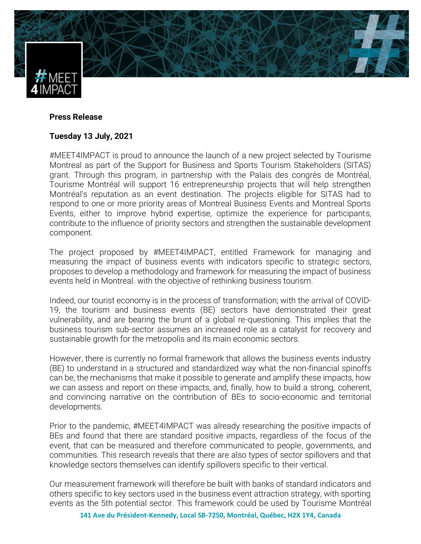

## **Press Release**

## **Tuesday 13 July, 2021**

#MEET4IMPACT is proud to announce the launch of a new project selected by Tourisme Montreal as part of the Support for Business and Sports Tourism Stakeholders (SITAS) grant. Through this program, in partnership with the Palais des congrès de Montréal, Tourisme Montréal will support 16 entrepreneurship projects that will help strengthen Montréal's reputation as an event destination. The projects eligible for SITAS had to respond to one or more priority areas of Montreal Business Events and Montreal Sports Events, either to improve hybrid expertise, optimize the experience for participants, contribute to the influence of priority sectors and strengthen the sustainable development component.

The project proposed by #MEET4IMPACT, entitled Framework for managing and measuring the impact of business events with indicators specific to strategic sectors, proposes to develop a methodology and framework for measuring the impact of business events held in Montreal. with the objective of rethinking business tourism.

Indeed, our tourist economy is in the process of transformation; with the arrival of COVID-19, the tourism and business events (BE) sectors have demonstrated their great vulnerability, and are bearing the brunt of a global re-questioning. This implies that the business tourism sub-sector assumes an increased role as a catalyst for recovery and sustainable growth for the metropolis and its main economic sectors.

However, there is currently no formal framework that allows the business events industry (BE) to understand in a structured and standardized way what the non-financial spinoffs can be, the mechanisms that make it possible to generate and amplify these impacts, how we can assess and report on these impacts, and, finally, how to build a strong, coherent, and convincing narrative on the contribution of BEs to socio-economic and territorial developments.

Prior to the pandemic, #MEET4IMPACT was already researching the positive impacts of BEs and found that there are standard positive impacts, regardless of the focus of the event, that can be measured and therefore communicated to people, governments, and communities. This research reveals that there are also types of sector spillovers and that knowledge sectors themselves can identify spillovers specific to their vertical.

Our measurement framework will therefore be built with banks of standard indicators and others specific to key sectors used in the business event attraction strategy, with sporting events as the 5th potential sector. This framework could be used by Tourisme Montréal